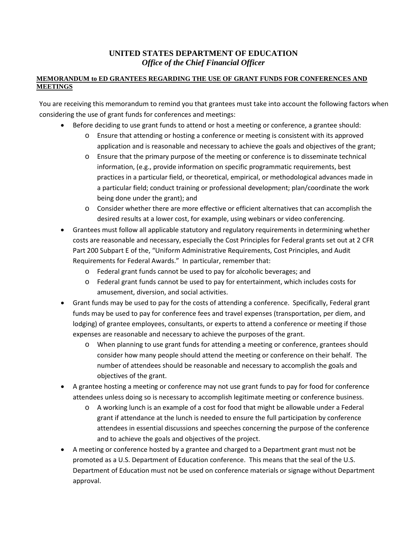## **UNITED STATES DEPARTMENT OF EDUCATION** *Office of the Chief Financial Officer*

## **MEMORANDUM to ED GRANTEES REGARDING THE USE OF GRANT FUNDS FOR CONFERENCES AND MEETINGS**

You are receiving this memorandum to remind you that grantees must take into account the following factors when considering the use of grant funds for conferences and meetings:

- Before deciding to use grant funds to attend or host a meeting or conference, a grantee should:
	- o Ensure that attending or hosting a conference or meeting is consistent with its approved application and is reasonable and necessary to achieve the goals and objectives of the grant;
	- o Ensure that the primary purpose of the meeting or conference is to disseminate technical information, (e.g., provide information on specific programmatic requirements, best practices in a particular field, or theoretical, empirical, or methodological advances made in a particular field; conduct training or professional development; plan/coordinate the work being done under the grant); and
	- $\circ$  Consider whether there are more effective or efficient alternatives that can accomplish the desired results at a lower cost, for example, using webinars or video conferencing.
- Grantees must follow all applicable statutory and regulatory requirements in determining whether costs are reasonable and necessary, especially the Cost Principles for Federal grants set out at 2 CFR Part 200 Subpart E of the, "Uniform Administrative Requirements, Cost Principles, and Audit Requirements for Federal Awards." In particular, remember that:
	- o Federal grant funds cannot be used to pay for alcoholic beverages; and
	- o Federal grant funds cannot be used to pay for entertainment, which includes costs for amusement, diversion, and social activities.
- Grant funds may be used to pay for the costs of attending a conference. Specifically, Federal grant funds may be used to pay for conference fees and travel expenses (transportation, per diem, and lodging) of grantee employees, consultants, or experts to attend a conference or meeting if those expenses are reasonable and necessary to achieve the purposes of the grant.
	- o When planning to use grant funds for attending a meeting or conference, grantees should consider how many people should attend the meeting or conference on their behalf. The number of attendees should be reasonable and necessary to accomplish the goals and objectives of the grant.
- A grantee hosting a meeting or conference may not use grant funds to pay for food for conference attendees unless doing so is necessary to accomplish legitimate meeting or conference business.
	- o A working lunch is an example of a cost for food that might be allowable under a Federal grant if attendance at the lunch is needed to ensure the full participation by conference attendees in essential discussions and speeches concerning the purpose of the conference and to achieve the goals and objectives of the project.
- A meeting or conference hosted by a grantee and charged to a Department grant must not be promoted as a U.S. Department of Education conference. This means that the seal of the U.S. Department of Education must not be used on conference materials or signage without Department approval.